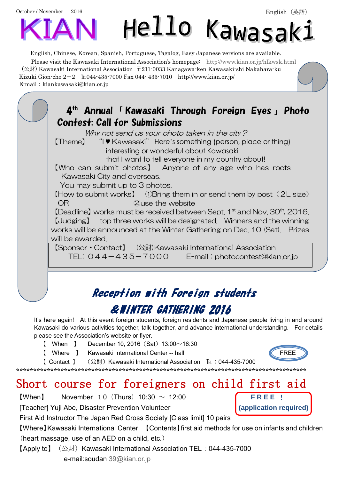October / November 2016



## Hello Kawasak:

English, Chinese, Korean, Spanish, Portuguese, Tagalog, Easy Japanese versions are available.

Please visit the Kawasaki International Association's homepage: <http://www.kian.or.jp/hlkwsk.html> (公財) Kawasaki International Association 〒211-0033 Kanagawa-ken Kawasaki-shi Nakahara-ku Kizuki Gion-cho  $2-2$  EL044-435-7000 Fax 044-435-7010 http://www.kian.or.jp/ E-mail: kiankawasaki@kian.or.jp

4 th Annual 「 Kawasaki Through Foreign Eyes 」 Photo Contest: Call for Submissions Why not send us your photo taken in the city? 【Theme】 "I ♥ Kawasaki" Here's something (person, place or thing) interesting or wonderful about Kawasaki that I want to tell everyone in my country about! 【Who can submit photos】 Anyone of any age who has roots Kawasaki City and overseas. You may submit up to 3 photos. 【How to submit works】 ①Bring them in or send them by post(2L size) OR **COUSE COUSE OR COUSE COUSE COUSE** 【Deadline】works must be received between Sept. 1 st and Nov. 30th, 2016. 【Judging】 top three works will be designated. Winners and the winning works will be announced at the Winter Gathering on Dec. 10 (Sat). Prizes will be awarded. 【Sponsor・Contact】 (公財)Kawasaki International Association TEL: 044-435-7000 E-mail: photocontest@kian.or.jp j Reception with Foreign students

## &WINTER GATHERING 2016

It's here again! At this event foreign students, foreign residents and Japanese people living in and around Kawasaki do various activities together, talk together, and advance international understanding. For details please see the Association's website or flyer.

- [ When ] December 10, 2016  $(Sat)$  13:00 $\sim$ 16:30
- 【 Where 】 Kawasaki International Center -- hall FREE



【 Contact 】 (公財)Kawasaki International Association [ti : 044-435-7000 \*\*\*\*\*\*\*\*\*\*\*\*\*\*\*\*\*\*\*\*\*\*\*\*\*\*\*\*\*\*\*\*\*\*\*\*\*\*\*\*\*\*\*\*\*\*\*\*\*\*\*\*\*\*\*\*\*\*\*\*\*\*\*\*\*\*\*\*\*\*\*\*\*\*\*\*\*\*\*\*\*\*\*\*\*

## Short course for foreigners on child first aid

- $[When]$  November 1.0 (Thurs) 10:30  $\sim$  12:00 **FREE !**
- [Teacher] Yuji Abe, Disaster Prevention Volunteer **(application required)**

First Aid Instructor The Japan Red Cross Society [Class limit] 10 pairs

【Where】Kawasaki International Center 【Contents】first aid methods for use on infants and children (heart massage, use of an AED on a child, etc.)

【Apply to】 (公財) Kawasaki International Association TEL: 044-435-7000 e-mail:soudan [39@kian.or.jp](mailto:39@kian.or.jp)